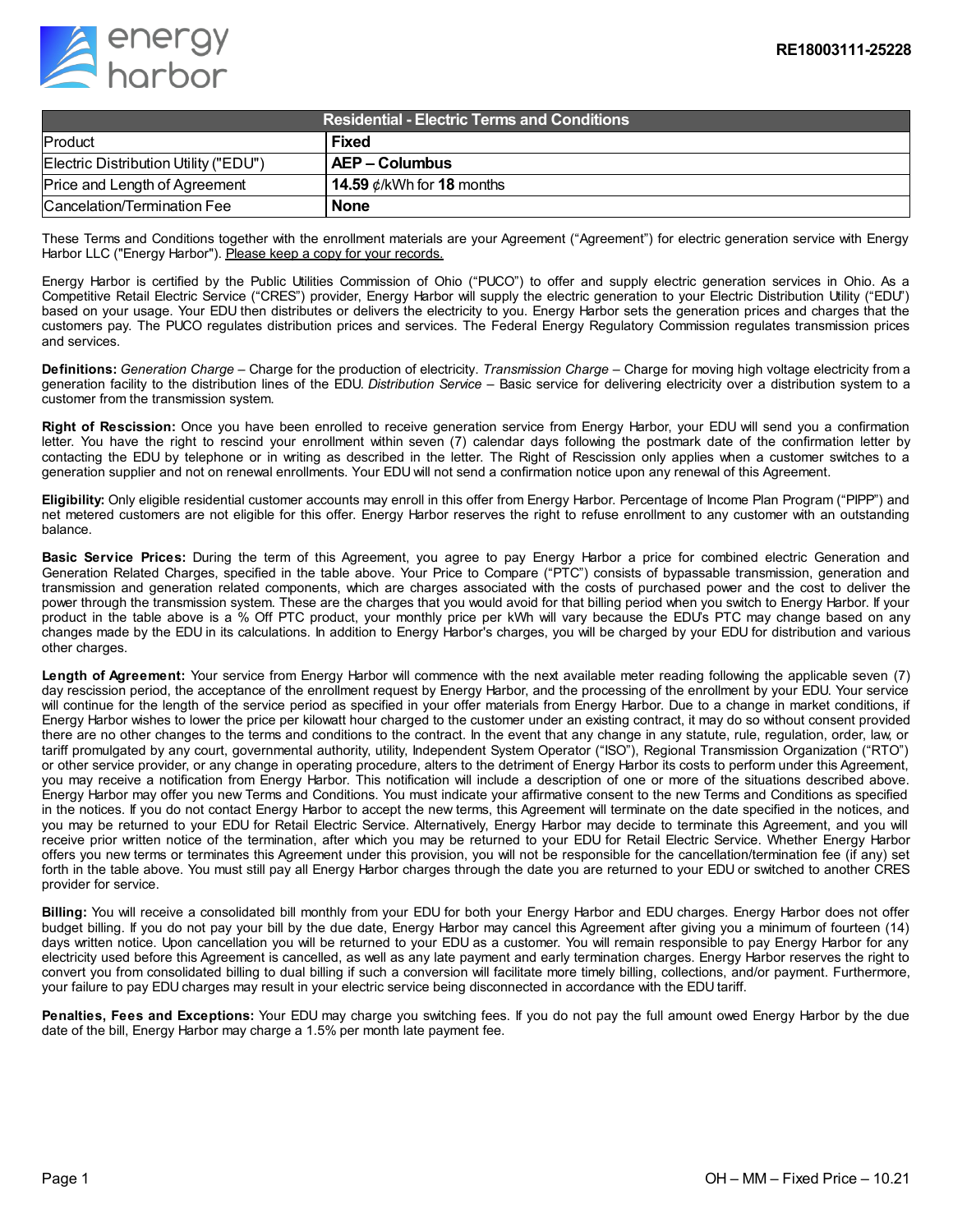

| <b>Residential - Electric Terms and Conditions</b> |                                 |
|----------------------------------------------------|---------------------------------|
| Product                                            | <b>Fixed</b>                    |
| Electric Distribution Utility ("EDU")              | AEP – Columbus                  |
| Price and Length of Agreement                      | 14.59 $\phi$ /kWh for 18 months |
| Cancelation/Termination Fee                        | <b>None</b>                     |

These Terms and Conditions together with the enrollment materials are your Agreement ("Agreement") for electric generation service with Energy Harbor LLC ("Energy Harbor"). Please keep a copy for your records.

Energy Harbor is certified by the Public Utilities Commission of Ohio ("PUCO") to offer and supply electric generation services in Ohio. As a Competitive Retail Electric Service ("CRES") provider, Energy Harbor will supply the electric generation to your Electric Distribution Utility ("EDU") based on your usage. Your EDU then distributes or delivers the electricity to you. Energy Harbor sets the generation prices and charges that the customers pay. The PUCO regulates distribution prices and services. The Federal Energy Regulatory Commission regulates transmission prices and services.

**Definitions:** *Generation Charge* – Charge for the production of electricity. *Transmission Charge* – Charge for moving high voltage electricity from a generation facility to the distribution lines of the EDU. *Distribution Service* – Basic service for delivering electricity over a distribution system to a customer from the transmission system.

**Right of Rescission:** Once you have been enrolled to receive generation service from Energy Harbor, your EDU will send you a confirmation letter. You have the right to rescind your enrollment within seven (7) calendar days following the postmark date of the confirmation letter by contacting the EDU by telephone or in writing as described in the letter. The Right of Rescission only applies when a customer switches to a generation supplier and not on renewal enrollments. Your EDU will not send a confirmation notice upon any renewal of this Agreement.

**Eligibility:** Only eligible residential customer accounts may enroll in this offer from Energy Harbor. Percentage of Income Plan Program ("PIPP") and net metered customers are not eligible for this offer. Energy Harbor reserves the right to refuse enrollment to any customer with an outstanding balance.

**Basic Service Prices:** During the term of this Agreement, you agree to pay Energy Harbor a price for combined electric Generation and Generation Related Charges, specified in the table above. Your Price to Compare ("PTC") consists of bypassable transmission, generation and transmission and generation related components, which are charges associated with the costs of purchased power and the cost to deliver the power through the transmission system. These are the charges that you would avoid for that billing period when you switch to Energy Harbor. If your product in the table above is a % Off PTC product, your monthly price per kWh will vary because the EDU's PTC may change based on any changes made by the EDU in its calculations. In addition to Energy Harbor's charges, you will be charged by your EDU for distribution and various other charges.

**Length of Agreement:** Your service from Energy Harbor will commence with the next available meter reading following the applicable seven (7) day rescission period, the acceptance of the enrollment request by Energy Harbor, and the processing of the enrollment by your EDU. Your service will continue for the length of the service period as specified in your offer materials from Energy Harbor. Due to a change in market conditions, if Energy Harbor wishes to lower the price per kilowatt hour charged to the customer under an existing contract, it may do so without consent provided there are no other changes to the terms and conditions to the contract. In the event that any change in any statute, rule, regulation, order, law, or tariff promulgated by any court, governmental authority, utility, Independent System Operator ("ISO"), Regional Transmission Organization ("RTO") or other service provider, or any change in operating procedure, alters to the detriment of Energy Harbor its costs to perform under this Agreement, you may receive a notification from Energy Harbor. This notification will include a description of one or more of the situations described above. Energy Harbor may offer you new Terms and Conditions. You must indicate your affirmative consent to the new Terms and Conditions as specified in the notices. If you do not contact Energy Harbor to accept the new terms, this Agreement will terminate on the date specified in the notices, and you may be returned to your EDU for Retail Electric Service. Alternatively, Energy Harbor may decide to terminate this Agreement, and you will receive prior written notice of the termination, after which you may be returned to your EDU for Retail Electric Service. Whether Energy Harbor offers you new terms or terminates this Agreement under this provision, you will not be responsible for the cancellation/termination fee (if any) set forth in the table above. You must still pay all Energy Harbor charges through the date you are returned to your EDU or switched to another CRES provider for service.

**Billing:** You will receive a consolidated bill monthly from your EDU for both your Energy Harbor and EDU charges. Energy Harbor does not offer budget billing. If you do not pay your bill by the due date, Energy Harbor may cancel this Agreement after giving you a minimum of fourteen (14) days written notice. Upon cancellation you will be returned to your EDU as a customer. You will remain responsible to pay Energy Harbor for any electricity used before this Agreement is cancelled, as well as any late payment and early termination charges. Energy Harbor reserves the right to convert you from consolidated billing to dual billing if such a conversion will facilitate more timely billing, collections, and/or payment. Furthermore, your failure to pay EDU charges may result in your electric service being disconnected in accordance with the EDU tariff.

**Penalties, Fees and Exceptions:** Your EDU may charge you switching fees. If you do not pay the full amount owed Energy Harbor by the due date of the bill, Energy Harbor may charge a 1.5% per month late payment fee.